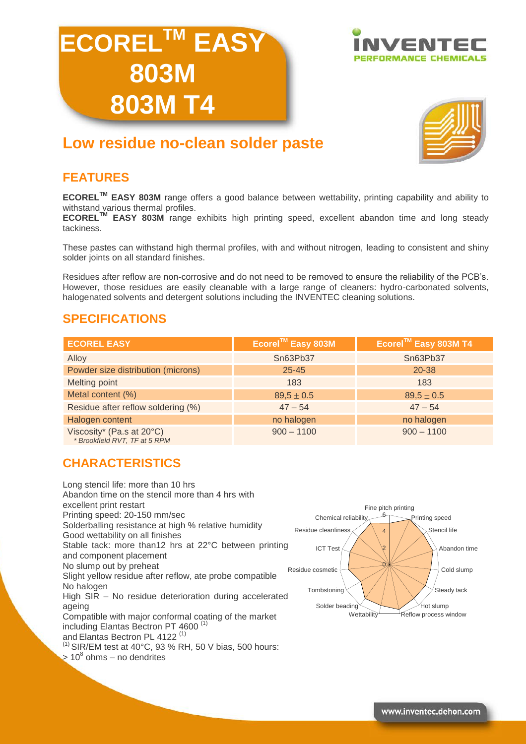





# **Low residue no-clean solder paste**

## **FEATURES**

**ECORELTM EASY 803M** range offers a good balance between wettability, printing capability and ability to withstand various thermal profiles.

**ECORELTM EASY 803M** range exhibits high printing speed, excellent abandon time and long steady tackiness.

These pastes can withstand high thermal profiles, with and without nitrogen, leading to consistent and shiny solder joints on all standard finishes.

Residues after reflow are non-corrosive and do not need to be removed to ensure the reliability of the PCB's. However, those residues are easily cleanable with a large range of cleaners: hydro-carbonated solvents, halogenated solvents and detergent solutions including the INVENTEC cleaning solutions.

### **SPECIFICATIONS**

| <b>ECOREL EASY</b>                                         | Ecorel™ Easy 803M | Ecorel™ Easy 803M T4 |
|------------------------------------------------------------|-------------------|----------------------|
| Alloy                                                      | Sn63Pb37          | Sn63Pb37             |
| Powder size distribution (microns)                         | $25 - 45$         | 20-38                |
| <b>Melting point</b>                                       | 183               | 183                  |
| Metal content (%)                                          | $89.5 \pm 0.5$    | $89.5 \pm 0.5$       |
| Residue after reflow soldering (%)                         | $47 - 54$         | $47 - 54$            |
| Halogen content                                            | no halogen        | no halogen           |
| Viscosity* (Pa.s at 20°C)<br>* Brookfield RVT, TF at 5 RPM | $900 - 1100$      | $900 - 1100$         |

### **CHARACTERISTICS**

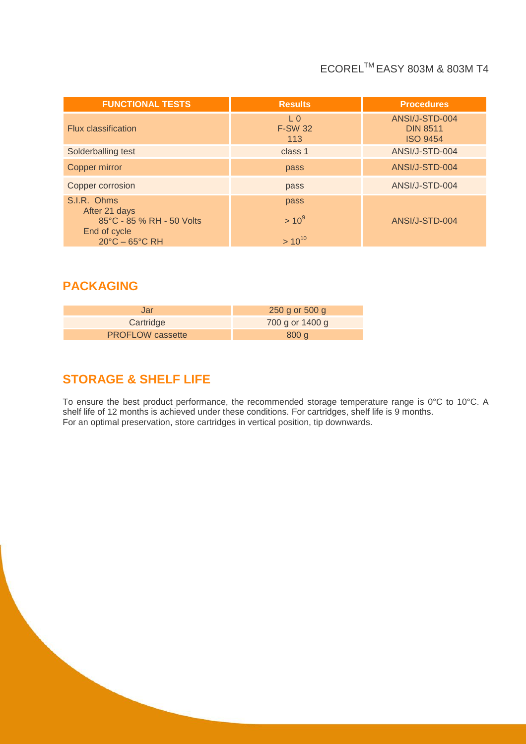# ECORELTM EASY 803M & 803M T4

| <b>Results</b>                          | <b>Procedures</b>                                    |
|-----------------------------------------|------------------------------------------------------|
| L <sub>0</sub><br><b>F-SW 32</b><br>113 | ANSI/J-STD-004<br><b>DIN 8511</b><br><b>ISO 9454</b> |
| class 1                                 | ANSI/J-STD-004                                       |
| pass                                    | ANSI/J-STD-004                                       |
| pass                                    | ANSI/J-STD-004                                       |
| pass<br>$> 10^{9}$                      | ANSI/J-STD-004                                       |
|                                         | $> 10^{10}$                                          |

## **PACKAGING**

| Jar                     | 250 g or 500 g  |
|-------------------------|-----------------|
| Cartridge               | 700 g or 1400 g |
| <b>PROFLOW</b> cassette | 800q            |

# **STORAGE & SHELF LIFE**

To ensure the best product performance, the recommended storage temperature range is 0°C to 10°C. A shelf life of 12 months is achieved under these conditions. For cartridges, shelf life is 9 months. For an optimal preservation, store cartridges in vertical position, tip downwards.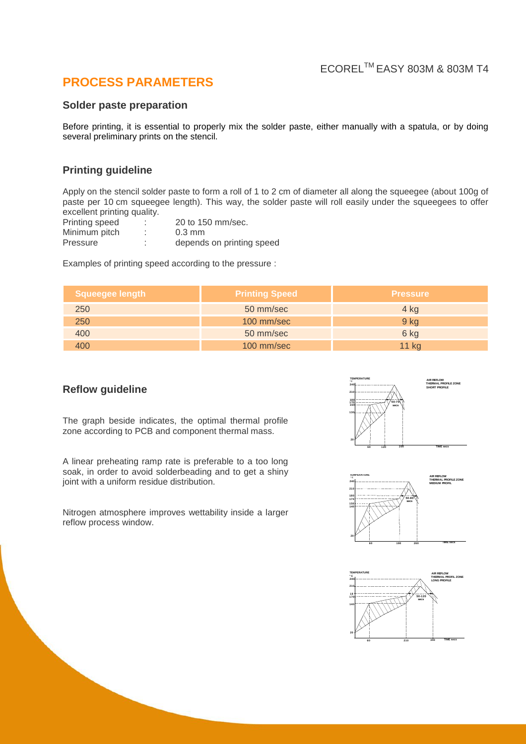### **PROCESS PARAMETERS**

#### **Solder paste preparation**

Before printing, it is essential to properly mix the solder paste, either manually with a spatula, or by doing several preliminary prints on the stencil.

### **Printing guideline**

Apply on the stencil solder paste to form a roll of 1 to 2 cm of diameter all along the squeegee (about 100g of paste per 10 cm squeegee length). This way, the solder paste will roll easily under the squeegees to offer excellent printing quality.

| Printing speed | ٠      | 20 to 150 mm/sec.         |
|----------------|--------|---------------------------|
| Minimum pitch  |        | $0.3 \text{ mm}$          |
| Pressure       | ٠<br>٠ | depends on printing speed |

Examples of printing speed according to the pressure :

| Squeegee length | <b>Printing Speed</b> | <b>Pressure</b> |
|-----------------|-----------------------|-----------------|
| 250             | 50 mm/sec             | 4 kg            |
| 250             | $100$ mm/sec          | $9$ kg          |
| 400             | 50 mm/sec             | 6 kg            |
| 400             | 100 mm/sec            | 11 kg           |

#### **Reflow guideline**

The graph beside indicates, the optimal thermal profile zone according to PCB and component thermal mass.

A linear preheating ramp rate is preferable to a too long soak, in order to avoid solderbeading and to get a shiny joint with a uniform residue distribution.

Nitrogen atmosphere improves wettability inside a larger reflow process window.